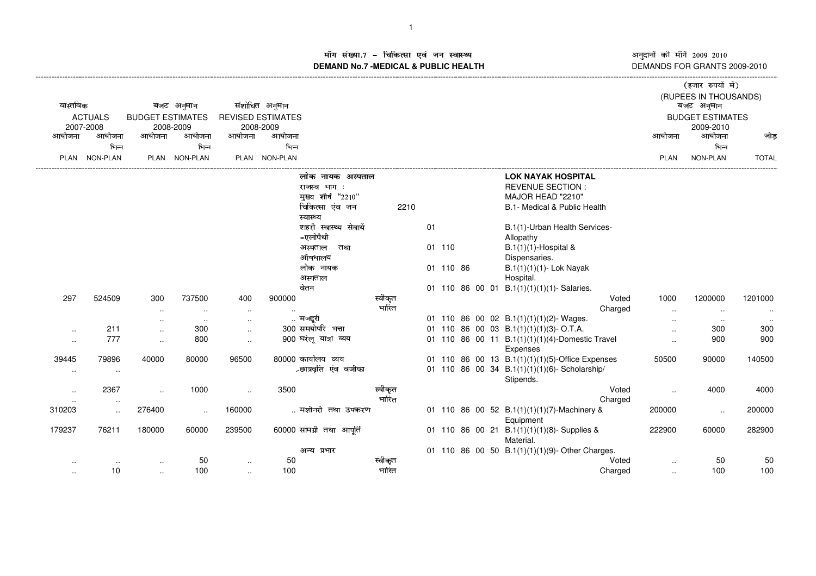अनुदानों की माँगें 2009–2010<br>DEMANDS FOR GRANTS 2009-2010

## ाँग संख्या.7 – चिकित्सा एवं जन स्वास्थ्य स्थान संस्था संस्था पार्टी अर्थ अ ---------------------------------------------------------------------------------------------------------------------------------------------------------------------------------------------------------------------------------------------------------------------------- (------------------- )\*+,-./+010132- माँग सख्या.7 – चिकित्सा एव जन स्वास्थ्य<br>DEMAND No.7 -MEDICAL & PUBLIC HEALTH

|                      |                 |                         |               |               |                          |                           |         |    |           |  |                                                             |                      | (हजार रुपया म)          |              |
|----------------------|-----------------|-------------------------|---------------|---------------|--------------------------|---------------------------|---------|----|-----------|--|-------------------------------------------------------------|----------------------|-------------------------|--------------|
|                      |                 |                         |               |               |                          |                           |         |    |           |  |                                                             |                      | (RUPEES IN THOUSANDS)   |              |
| वास्तविक             |                 |                         | बजट अनुमान    |               | संशोधित अनुमान           |                           |         |    |           |  |                                                             |                      | बजट अनुमान              |              |
|                      | <b>ACTUALS</b>  | <b>BUDGET ESTIMATES</b> |               |               | <b>REVISED ESTIMATES</b> |                           |         |    |           |  |                                                             |                      | <b>BUDGET ESTIMATES</b> |              |
|                      | 2007-2008       |                         | 2008-2009     |               | 2008-2009                |                           |         |    |           |  |                                                             |                      | 2009-2010               |              |
| आयोजना               | आयोजना          | आयोजना                  | आयोजना        | आयोजना        | आयोजना                   |                           |         |    |           |  |                                                             | आयोजना               | आयोजना                  | जोड          |
|                      | भिन्न           |                         | भिन्न         |               | भिन्न                    |                           |         |    |           |  |                                                             |                      | भिन्न                   |              |
|                      | PLAN NON-PLAN   |                         | PLAN NON-PLAN |               | PLAN NON-PLAN            |                           |         |    |           |  |                                                             | <b>PLAN</b>          | NON-PLAN                | <b>TOTAL</b> |
|                      |                 |                         |               |               |                          | लोक नायक अस्पताल          |         |    |           |  | <b>LOK NAYAK HOSPITAL</b>                                   |                      |                         |              |
|                      |                 |                         |               |               |                          | राजस्व भाग:               |         |    |           |  | <b>REVENUE SECTION:</b>                                     |                      |                         |              |
|                      |                 |                         |               |               |                          | मुख्य शीर्ष "2210"        |         |    |           |  | MAJOR HEAD "2210"                                           |                      |                         |              |
|                      |                 |                         |               |               |                          | चिकित्सा एंव जन           | 2210    |    |           |  | B.1- Medical & Public Health                                |                      |                         |              |
|                      |                 |                         |               |               |                          | स्वास्थ्य                 |         |    |           |  |                                                             |                      |                         |              |
|                      |                 |                         |               |               |                          | शहरी स्वास्थ्य सेवायें    |         | 01 |           |  | B.1(1)-Urban Health Services-                               |                      |                         |              |
|                      |                 |                         |               |               |                          | -एलोपैथी                  |         |    |           |  | Allopathy                                                   |                      |                         |              |
|                      |                 |                         |               |               |                          | अस्पताल<br>तथा            |         |    | 01 110    |  | $B.1(1)(1)$ -Hospital &                                     |                      |                         |              |
|                      |                 |                         |               |               |                          | औषधालय                    |         |    |           |  | Dispensaries.                                               |                      |                         |              |
|                      |                 |                         |               |               |                          | लोक नायक                  |         |    | 01 110 86 |  | B.1(1)(1)(1)- Lok Nayak                                     |                      |                         |              |
|                      |                 |                         |               |               |                          | अस्पताल                   |         |    |           |  | Hospital.                                                   |                      |                         |              |
|                      |                 |                         |               |               |                          | वेतन                      |         |    |           |  | 01 110 86 00 01 B.1(1)(1)(1)(1)- Salaries.                  |                      |                         |              |
| 297                  | 524509          | 300                     | 737500        | 400           | 900000                   |                           | स्वीकृत |    |           |  | Voted                                                       | 1000                 | 1200000                 | 1201000      |
|                      |                 | $\sim$                  | $\cdot$ .     | $\sim$        | $\ddotsc$                |                           | भारित   |    |           |  | Charged                                                     | $\ddotsc$            | $\sim$                  | $\ddotsc$    |
|                      |                 | $\ddotsc$               | $\sim$        | $\ldots$      |                          | मजदुरी                    |         |    |           |  | 01 110 86 00 02 B.1(1)(1)(1)(2)- Wages.                     | $\cdot$ .            | $\sim$                  |              |
| $\sim$               | 211             | $\ddotsc$               | 300           | $\cdot$ .     |                          | 300 समयोपरि भत्ता         |         |    |           |  | 01 110 86 00 03 B.1(1)(1)(1)(3)-O.T.A.                      | $\ldots$             | 300                     | 300          |
| $\sim$               | 777             | $\ddot{\phantom{a}}$    | 800           | $\ddotsc$     |                          | 900 घरेलू यात्रा व्यय     |         |    |           |  | 01 110 86 00 11 B.1(1)(1)(1)(4)-Domestic Travel<br>Expenses | $\cdot$ .            | 900                     | 900          |
| 39445                | 79896           | 40000                   | 80000         | 96500         |                          | 80000 कार्यालय व्यय       |         |    |           |  | 01 110 86 00 13 B.1(1)(1)(1)(5)-Office Expenses             | 50500                | 90000                   | 140500       |
| $\sim$               | $\sim$          |                         |               |               |                          | ∠छात्रवृति एंव वजीफा      |         |    |           |  | 01 110 86 00 34 B.1(1)(1)(1)(6)-Scholarship/                |                      |                         |              |
|                      |                 |                         |               |               |                          |                           |         |    |           |  | Stipends.                                                   |                      |                         |              |
| $\ddot{\phantom{a}}$ | 2367            | $\ddotsc$               | 1000          | $\ddotsc$     | 3500                     |                           | स्वीकृत |    |           |  | Voted                                                       | $\ddot{\phantom{a}}$ | 4000                    | 4000         |
| $\sim$               | $\sim$          |                         |               |               |                          |                           | भारित   |    |           |  | Charged                                                     |                      |                         |              |
| 310203               | $\sim$          | 276400                  | $\ddotsc$     | 160000        |                          | मशीनरी तथा उपकरण          |         |    |           |  | 01 110 86 00 52 B.1(1)(1)(1)(7)-Machinery &<br>Equipment    | 200000               | $\ldots$                | 200000       |
| 179237               | 76211           | 180000                  | 60000         | 239500        |                          | 60000 सामग्री तथा आपूर्ति |         |    |           |  | 01 110 86 00 21 B.1(1)(1)(1)(8)-Supplies &<br>Material.     | 222900               | 60000                   | 282900       |
|                      |                 |                         |               |               |                          | अन्य प्रभार               |         |    |           |  | 01 110 86 00 50 B.1(1)(1)(1)(9)-Other Charges.              |                      |                         |              |
|                      |                 |                         | 50            |               | 50                       |                           | स्वीकृत |    |           |  | Voted                                                       |                      | 50                      | 50           |
|                      | $\cdot$ .<br>10 | $\ddotsc$               | 100           | $\sim$ $\sim$ | 100                      |                           | भारित   |    |           |  | Charged                                                     | $\cdot$ .            | 100                     | 100          |
| $\cdot$ .            |                 | $\cdot$ .               |               | $\ddotsc$     |                          |                           |         |    |           |  |                                                             | $\sim$               |                         |              |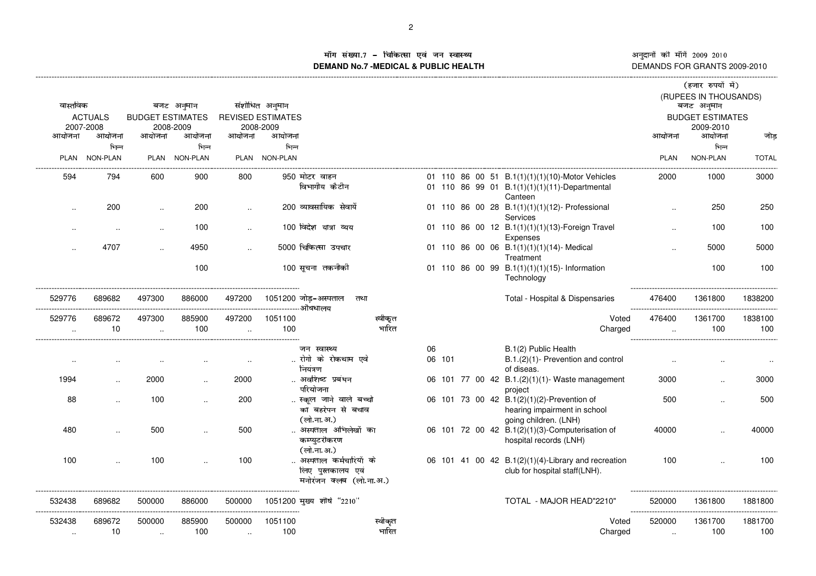अनुदानों की माँगें 2009–2010 DEMANDS FOR GRANTS 2009-2010

## ाँग संख्या.7 - चिकित्सा एवं जन स्वास्थ्य<br>IAND No.7 MEDICAL & DIIBLIC HEALTH **DEMAND No.7 -MEDICAL & PUBLIC HEALTH**

|           |                      |                         |                      |                          |                |                                               |        |  |                                                                                                  |             | (हजार रुपयों में)                     |              |
|-----------|----------------------|-------------------------|----------------------|--------------------------|----------------|-----------------------------------------------|--------|--|--------------------------------------------------------------------------------------------------|-------------|---------------------------------------|--------------|
|           |                      |                         |                      |                          |                |                                               |        |  |                                                                                                  |             | (RUPEES IN THOUSANDS)                 |              |
| वास्तविक  | <b>ACTUALS</b>       | <b>BUDGET ESTIMATES</b> | बजट अनुमान           | <b>REVISED ESTIMATES</b> | संशोधित अनुमान |                                               |        |  |                                                                                                  |             | बजट अनुमान<br><b>BUDGET ESTIMATES</b> |              |
|           | 2007-2008            |                         | 2008-2009            |                          | 2008-2009      |                                               |        |  |                                                                                                  |             | 2009-2010                             |              |
| आयोजना    | आयोजना               | आयोजना                  | आयोजना               | आयोजना                   | आयोजना         |                                               |        |  |                                                                                                  | आयोजना      | आयोजना                                | जोड़         |
|           | भिन्न                |                         | भिन्न                |                          | भिन्न          |                                               |        |  |                                                                                                  |             | भिन्न                                 |              |
| PLAN      | <b>NON-PLAN</b>      |                         | PLAN NON-PLAN        |                          | PLAN NON-PLAN  |                                               |        |  |                                                                                                  | <b>PLAN</b> | NON-PLAN                              | <b>TOTAL</b> |
| 594       | 794                  | 600                     | 900                  | 800                      |                | 950 मोटर वाहन<br>विभागीय कैटीन                |        |  | 01 110 86 00 51 B.1(1)(1)(1)(10)-Motor Vehicles<br>01 110 86 99 01 B.1(1)(1)(1)(11)-Departmental | 2000        | 1000                                  | 3000         |
|           |                      |                         |                      |                          |                |                                               |        |  | Canteen                                                                                          |             |                                       |              |
| ٠.        | 200                  | $\cdot$ .               | 200                  | $\ddotsc$                |                | 200 व्यावसायिक सेवायें                        |        |  | 01 110 86 00 28 B.1(1)(1)(1)(12)- Professional<br>Services                                       |             | 250                                   | 250          |
|           | ٠.                   | $\cdot$ .               | 100                  |                          |                | 100 विदेश यात्रा व्यय                         |        |  | 01 110 86 00 12 B.1(1)(1)(1)(13)-Foreign Travel<br>Expenses                                      |             | 100                                   | 100          |
|           | 4707                 | $\ddot{\phantom{a}}$    | 4950                 |                          |                | 5000 चिकित्सा उपचार                           |        |  | 01 110 86 00 06 B.1(1)(1)(1)(14)- Medical<br>Treatment                                           |             | 5000                                  | 5000         |
|           |                      |                         | 100                  |                          |                | 100 सूचना तकनीकी                              |        |  | 01 110 86 00 99 B.1(1)(1)(1)(15)- Information<br>Technology                                      |             | 100                                   | 100          |
| 529776    | 689682               | 497300                  | 886000               | 497200                   |                | 1051200 जोड़–अस्पताल<br>तथा<br>--------औषधालय |        |  | Total - Hospital & Dispensaries                                                                  | 476400      | 1361800                               | 1838200      |
| 529776    | 689672               | 497300                  | 885900               | 497200                   | 1051100        | स्वीकृत                                       |        |  | Voted                                                                                            | 476400      | 1361700                               | 1838100      |
| ٠.        | 10                   | $\cdot$ .               | 100                  | $\ddot{\phantom{a}}$     | 100            | भारित                                         |        |  | Charged                                                                                          |             | 100                                   | 100          |
|           |                      |                         |                      |                          |                | जन स्वास्थ्य                                  | 06     |  | B.1(2) Public Health                                                                             |             |                                       |              |
| $\cdot$ . |                      |                         |                      |                          |                | रोगो के रोकथाम एवे<br>नियंत्रण                | 06 101 |  | B.1.(2)(1)- Prevention and control<br>of diseas.                                                 |             |                                       |              |
| 1994      | $\ddot{\phantom{a}}$ | 2000                    | $\ddot{\phantom{a}}$ | 2000                     |                | अवशिष्ट प्रबंधन<br>परियोजना                   |        |  | 06 101 77 00 42 B.1.(2)(1)(1)- Waste management<br>project                                       | 3000        |                                       | 3000         |
| 88        |                      | 100                     |                      | 200                      |                | स्कूल जाने वाले बच्चो<br>का बहरेपन से बचाव    |        |  | 06 101 73 00 42 B.1(2)(1)(2)-Prevention of<br>hearing impairment in school                       | 500         |                                       | 500          |
|           |                      | 500                     |                      | 500                      |                | (लो.ना.अ.)<br>अस्पताल अभिलेखों का             |        |  | going children. (LNH)                                                                            |             |                                       | 40000        |
| 480       |                      |                         |                      |                          |                | कम्प्युटरीकरण<br>(लो.ना.अ.)                   |        |  | 06 101 72 00 42 B.1(2)(1)(3)-Computerisation of<br>hospital records (LNH)                        | 40000       |                                       |              |
| 100       |                      | 100                     |                      | 100                      |                | अस्पताल कर्मचारियों के                        |        |  | 06 101 41 00 42 B.1(2)(1)(4)-Library and recreation                                              | 100         |                                       | 100          |
|           |                      |                         |                      |                          |                | लिए पुस्तकालय एवं<br>मनोरंजन क्लब (लो.ना.अ.)  |        |  | club for hospital staff(LNH).                                                                    |             |                                       |              |
| 532438    | 689682               | 500000                  | 886000               | 500000                   |                | 1051200 मुख्य शीर्ष "2210"                    |        |  | TOTAL - MAJOR HEAD"2210"                                                                         | 520000      | 1361800                               | 1881800      |
| 532438    | 689672               | 500000                  | 885900               | 500000                   | 1051100        | स्वीकृत                                       |        |  | Voted                                                                                            | 520000      | 1361700                               | 1881700      |
| $\ldots$  | 10                   | $\sim$                  | 100                  | $\ddotsc$                | 100            | भारित                                         |        |  | Charged                                                                                          | $\ddotsc$   | 100                                   | 100          |
|           |                      |                         |                      |                          |                |                                               |        |  |                                                                                                  |             |                                       |              |

-----------------------------------------------------------------------------------------------------------------------------------------------------------------------------------------------------------------------------------------------------------------------------------------------